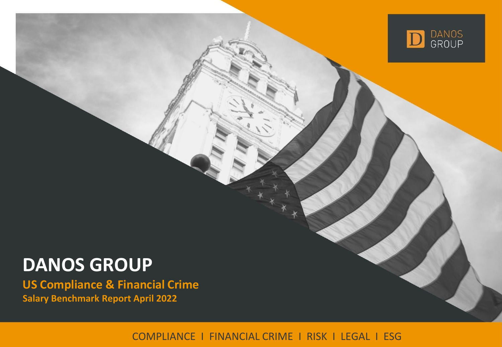

# **DANOS GROUP**

**US Compliance & Financial Crime Salary Benchmark Report April 2022**

COMPLIANCE I FINANCIAL CRIME I RISK I LEGAL I ESG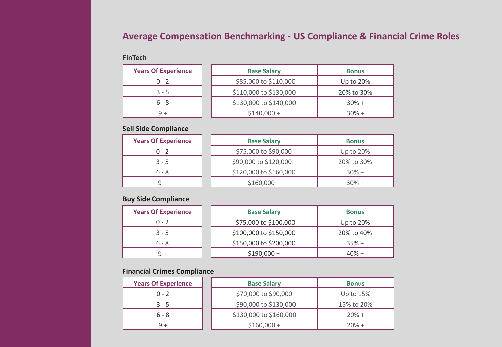# **Average Compensation Benchmarking - US Compliance & Financial Crime Roles**

### **FinTech**

| <b>Years Of Experience</b> | <b>Base Salary</b>     | <b>Bonus</b> |
|----------------------------|------------------------|--------------|
| $0 - 2$                    | \$85,000 to \$110,000  | Up to 20%    |
| $3 - 5$                    | \$110,000 to \$130,000 | 20% to 30%   |
| $6 - 8$                    | \$130,000 to \$140,000 | $30% +$      |
| 9+                         | $$140,000+$            | $30% +$      |

## **Sell Side Compliance**

| <b>Years Of Experience</b> | <b>Base Salary</b>     | <b>Bonus</b> |
|----------------------------|------------------------|--------------|
| $0 - 2$                    | \$75,000 to \$90,000   | Up to 20%    |
| $3 - 5$                    | \$90,000 to \$120,000  | 20% to 30%   |
| $6 - 8$                    | \$120,000 to \$160,000 | $30% +$      |
| 9 +                        | $$160,000 +$           | $30% +$      |

## **Buy Side Compliance**

| <b>Years Of Experience</b> | <b>Base Salary</b>     | <b>Bonus</b> |
|----------------------------|------------------------|--------------|
| $0 - 2$                    | \$75,000 to \$100,000  | Up to 20%    |
| $3 - 5$                    | \$100,000 to \$150,000 | 20% to 40%   |
| $6 - 8$                    | \$150,000 to \$200,000 | $35% +$      |
|                            | $$190,000+$            | $40% +$      |

## **Financial Crimes Compliance**

| <b>Years Of Experience</b> | <b>Base Salary</b>     | <b>Bonus</b> |
|----------------------------|------------------------|--------------|
| $0 - 2$                    | \$70,000 to \$90,000   | Up to $15%$  |
| $3 - 5$                    | \$90,000 to \$130,000  | 15% to 20%   |
| 6 - 8                      | \$130,000 to \$160,000 | $20% +$      |
|                            | $$160,000 +$           | $20% +$      |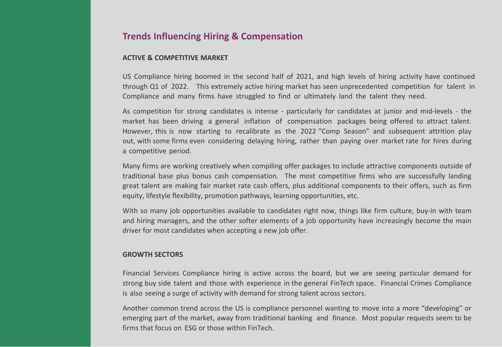# **Trends Influencing Hiring & Compensation**

#### **ACTIVE & COMPETITIVE MARKET**

US Compliance hiring boomed in the second half of 2021, and high levels of hiring activity have continued through Q1 of 2022. This extremely active hiring market has seen unprecedented competition for talent in Compliance and many firms have struggled to find or ultimately land the talent they need.

As competition for strong candidates is intense - particularly for candidates at junior and mid-levels - the market has been driving a general inflation of compensation packages being offered to attract talent. However, this is now starting to recalibrate as the 2022 "Comp Season" and subsequent attrition play out, with some firms even considering delaying hiring, rather than paying over market rate for hires during a competitive period.

Many firms are working creatively when compiling offer packages to include attractive components outside of traditional base plus bonus cash compensation. The most competitive firms who are successfully landing great talent are making fair market rate cash offers, plus additional components to their offers, such as firm equity, lifestyle flexibility, promotion pathways, learning opportunities, etc.

With so many job opportunities available to candidates right now, things like firm culture, buy-in with team and hiring managers, and the other softer elements of a job opportunity have increasingly become the main driver for most candidates when accepting a new job offer.

#### **GROWTH SECTORS**

Financial Services Compliance hiring is active across the board, but we are seeing particular demand for strong buy side talent and those with experience in the general FinTech space. Financial Crimes Compliance is also seeing a surge of activity with demand for strong talent across sectors.

Another common trend across the US is compliance personnel wanting to move into a more "developing" or emerging part of the market, away from traditional banking and finance. Most popular requests seem to be firms that focus on ESG or those within FinTech.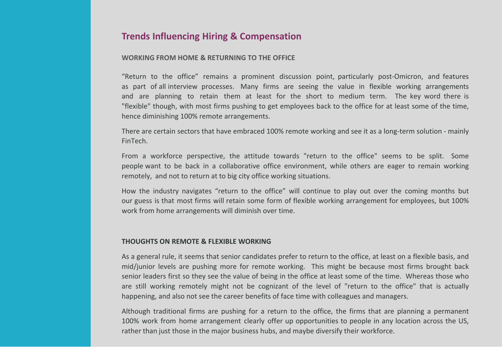# **Trends Influencing Hiring & Compensation**

#### **WORKING FROM HOME & RETURNING TO THE OFFICE**

"Return to the office" remains a prominent discussion point, particularly post-Omicron, and features as part of all interview processes. Many firms are seeing the value in flexible working arrangements and are planning to retain them at least for the short to medium term. The key word there is "flexible" though, with most firms pushing to get employees back to the office for at least some of the time, hence diminishing 100% remote arrangements.

There are certain sectors that have embraced 100% remote working and see it as a long-term solution - mainly FinTech.

From a workforce perspective, the attitude towards "return to the office" seems to be split. Some people want to be back in a collaborative office environment, while others are eager to remain working remotely, and not to return at to big city office working situations.

How the industry navigates "return to the office" will continue to play out over the coming months but our guess is that most firms will retain some form of flexible working arrangement for employees, but 100% work from home arrangements will diminish over time.

#### **THOUGHTS ON REMOTE & FLEXIBLE WORKING**

As a general rule, it seems that senior candidates prefer to return to the office, at least on a flexible basis, and mid/junior levels are pushing more for remote working. This might be because most firms brought back senior leaders first so they see the value of being in the office at least some of the time. Whereas those who are still working remotely might not be cognizant of the level of "return to the office" that is actually happening, and also not see the career benefits of face time with colleagues and managers.

Although traditional firms are pushing for a return to the office, the firms that are planning a permanent 100% work from home arrangement clearly offer up opportunities to people in any location across the US, rather than just those in the major business hubs, and maybe diversify their workforce.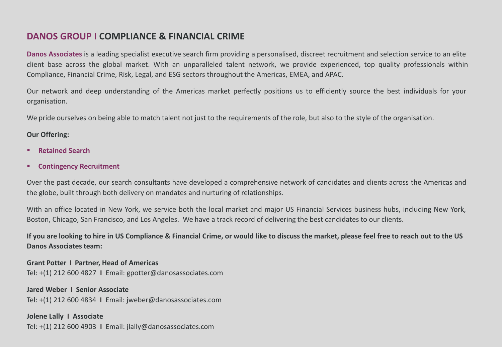# **DANOS GROUP I COMPLIANCE & FINANCIAL CRIME**

**Danos Associates** is a leading specialist executive search firm providing a personalised, discreet recruitment and selection service to an elite client base across the global market. With an unparalleled talent network, we provide experienced, top quality professionals within Compliance, Financial Crime, Risk, Legal, and ESG sectors throughout the Americas, EMEA, and APAC.

Our network and deep understanding of the Americas market perfectly positions us to efficiently source the best individuals for your organisation.

We pride ourselves on being able to match talent not just to the requirements of the role, but also to the style of the organisation.

### **Our Offering:**

- **Retained Search**
- **Contingency Recruitment**

Over the past decade, our search consultants have developed a comprehensive network of candidates and clients across the Americas and the globe, built through both delivery on mandates and nurturing of relationships.

With an office located in New York, we service both the local market and major US Financial Services business hubs, including New York, Boston, Chicago, San Francisco, and Los Angeles. We have a track record of delivering the best candidates to our clients.

**If you are looking to hire in US Compliance & Financial Crime, or would like to discuss the market, please feel free to reach out to the US Danos Associates team:**

**Grant Potter I Partner, Head of Americas** Tel: +(1) 212 600 4827 **I** Email: gpotter@danosassociates.com

**Jared Weber I Senior Associate** Tel: +(1) 212 600 4834 **I** Email: jweber@danosassociates.com

**Jolene Lally I Associate** Tel: +(1) 212 600 4903 **I** Email: jlally@danosassociates.com